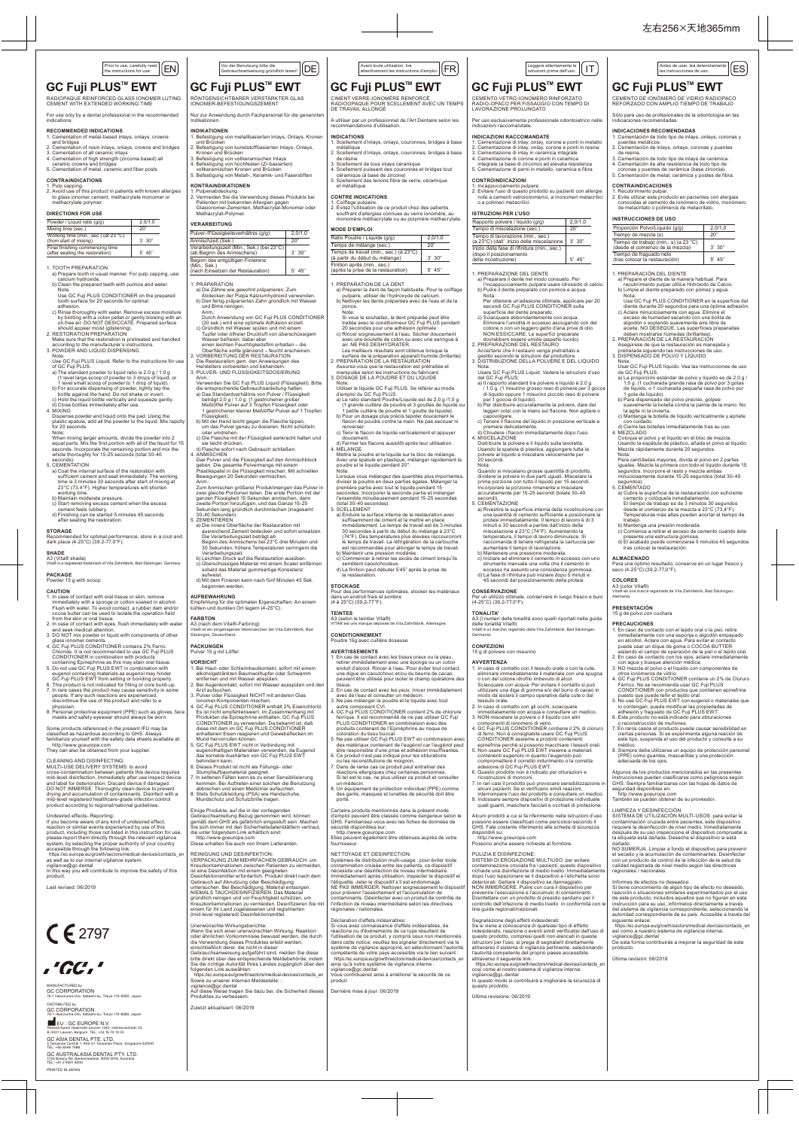

# **GC Fuji PLUS™ EWT**

## istruzioni prima dell'uso. ES Antes de usar, lea detenidamente las instrucciones de uso. **GC Fuji PLUS™ EWT**

RADIOPAQUE REINFORCED GLASS IONOMER LUTING CEMENT WITH EXTENDED WORKING TIME

For use only by a dental professional in the recommended indications.

# RECOMMENDED INDICATIONS<br>1. Cementation of metal-based inlays, onlays, crowns

- 1. Cementation of metal-based inlays, onlays, crowns and bridges 2. Cementation of resin inlays, onlays, crowns and bridges
- 3. Cementation of all ceramic inlays 4. Cementation of high strength (zirconia based) all ceramic crowns and bridges 5. Cementation of metal, ceramic and fiber posts

### **CONTRAINDICATIONS**

- ..<br>al manner. For pulp capping, use calcium hydroxide. b) Clean the prepared teeth with pumice and water.
- Note: Use GC Fuji PLUS CONDITIONER on the prepared tooth surface for 20 seconds for optimal
- adhesion. c) Rinse thoroughly with water. Remove excess moisture by blotting with a coton pellet or gently blowing with an<br>oil-free air. DO NOT DESICCATE. Prepared surface<br>should appear moist (glistening).<br>2. RESTORATION PREPARATION<br>Make sure that the restoration is pretreated and handl
- 
- according to the manufacturer's instructions. 3. POWDER AND LIQUID DISPENSING Note: Use GC Fuji PLUS Liquid. Refer to the instructions for use
- 

1. Pulp capping. 2. Avoid use of this product in patients with known allergies to glass ionomer cement, methacrylate monomer or methacrylate polymer.

### **DIRECTIONS FOR USE**

### 1. TOOTH PREPARATION

- seconds). 5. CEMENTATION a) Coat the internal surface of the restoration with sie leicht drücken. d) Flasche sofort nach Gebrauch schließen.
	- 4. ANMISCHEN<br>Das Pulver und die Flüssigkeit auf den Anmischblock<br>geben. Die gesamte Pulvermenge mit einem<br>Plastikspatel in die Flüssigkeit mischen. Mit schnellen<br>Bewegungen 20 Sekunden vermischen.
	- Anm.<br>2007 Anmischen größerer Produktmengen das Pulver in Zwei gleiche Portionen teilen. Die erste Portion mit der ganzen Flüssigkeit 15 Sekunden anmischen, dann<br>2012 Sekunden zweite Portion hinzufügen, und das Ganze 15-25<br>

Vor der Benutzung bitte die<br>Gebrauchsanweisung gründlich lesen!

RÖNTGENSICHTBARER VERSTÄRKTER GLAS<br>IONOMER-BEFESTIGUNGSZEMENT Nur zur Anwendung durch Fachpersonal für die genannte

**GC Fuji PLUS™ EWT** 

|<br>| of contact with oral tissue or skin, remove<br>| in alcohol, sepange or cotton soaked in alcohol. immediately with a sponge or cotton soaked in alcohol. Flush with water. To avoid contact, a rubber dam and/or cocoa butter can be used to isolate the operation field from the skin or oral tissue. 2. In case of contact with eyes, flush immediately with water and seek medical attention. 3. DO NOT mix powder or liquid with components of other

glass ionomer cements.<br>4. GC Fuji PLUS CONDITIONER contains 2% Ferric<br>Chloride. It is not recommended to use GC Fuji PLUS<br>CONDITIONER in combination with products<br>containing Epinephrine as this may stain oral tissue.<br>5. D

eugenol containing materials as eugenol may hinder<br>Co Fuji PLUS EWT from setting or bonding properly.<br>6. This product is not indicated for filling or core build-up.<br>7. In rare cases the product may cause sensitivity in som

4. MIXING Dispense powder and liquid onto the pad. Using the plastic spatula, add all the powder to the liquid. Mix rapidly

 http://www.gceurope.com They can also be obtained from your supplier. CLEANING AND DISINFECTING:<br>MULTI-USE DELIVERY SYSTEMS: to avoid

ark of Vita Zahnfabrik, Bad Säckingen, Germany.

sufficient cement and seat immediately. The working time is 3 minutes 30 seconds after start of mixing at 23°C (73.4°F). Higher temperatures will shorten

working time. b) Maintain moderate pressure. c) Start removing excess cement when the excess cement feels rubbery. d) Finishing can be started 5 minutes 45 seconds after seating the restoration.

# for 20 seconds.<br>Note:<br>When mixing larger amounts, divide the powder into 2<br>equal parts. Mix the first portion with all of the liquid for 15<br>seconds. Incorporate the remaining portion and mix the<br>whole thoroughly for 15-25

recommended for optimal performance, store in a cool and

**STORAGE**

**INDIKATIONEN** 1. Befestigung von metallbasierten Inlays, Onlays, Kronen und Brücken 2. Befestigung von kunststoffbasierten Inlays, Onlays, Kronen und Brücken<br>3. Befestigung von hochfesten (Zr-basierten)<br>4. Befestigung von hochfesten (Zr-basierten)<br>5. Befestigung von Metall-, Keramik- und Faserstiften<br>5. Befestigung von Metall-, Keramik- und Faserstiften

dark place (4-25°C) (39.2-77.0°F).

**SHADE** A3 (Vita® shade)

**PACKAGE** Powder 15 g with scoop

- of GC Fuji PLUS.<br>
a) The standard powder to liquid ratio is 2.0 g / 1.0 g<br>
(1 level large scoop of powder to 3 drops of liquid, or<br>
1 level small scoop of powder to 1 drop of liquid).<br>
b) For accurate dispensing of powder,
- 
- 

**CAUTION**

 Anm.: Verwenden Sie GC Fuji PLUS Liquid (Flüssigkeit). Bitte die entsprechende Gebrauchsanleitung halten.<br>a) Das Standardverhältnis von Pulver / Filüssigkeit<br>beträgt 2,0 g / 1,0 g. (1 gestrichener großer<br>Meßlöffel Pulver auf 3 Tropfen Filüssigkeit oder<br>1 gestrichener kleiner Meßlöff

physician. 8. Personal protective equipment (PPE) such as gloves, face masks and safety eyewear should always be worn.

- a) Die innere Oberfläche der Restauration mit<br>Die usreichend Zement bedecken und sofort einsetzen.<br>Die Verarbeitungszeit beträgt ab<br>Beginn des Anmischens bei 23°C drei Minuten und<br>30 Sekunden; höhere Temperaturen verringer
- Verarbeitungszeit. b) Leichten Druck auf die Restauration ausüben. c) Überschüssiges Material mit einem Scaler entfernen sobald das Material gummiartige Konsistenz aufweist.
- d) Mit dem Finieren kann nach fünf Minuten 45 Sek.

Some products referenced in the present IFU may be classified as hazardous according to GHS. Always familiarize yourself with the safety data sheets available at:

**FARBTON** A3 (nach dem Vita®-Farbring) Vita® ist ein eingetragenes Warenzeichen der Vita Zahnfabrik, Bad <sub>L</sub>ein eingetragei<br>en: Deutschland

- 
- **VORSICHT**<br>1. Bei Haut- oder Schleimhautkontakt, sofort mit einem 1. Bei Haut- oder Schleimhautkontakt, sofort mit einem alkoholgetränkten Baumwolltupfer oder Schwamm entfernen und mit Wasser abspülen. 2. Bei Augenkontakt, sofort mit Wasser ausspülen und den
- Arzt aufsuchen. 3. Pulver oder Flüssigkeit NICHT mit anderen Glas Ionomer-Komponenten mischen.
- 4. GC Fuji PLUS CONDITIONER enthält 2% Eisenchlorid. Es ist nicht empfehlenswert, im Zusammenhang mit Produkten die Epinephrine enthalten, GC Fuji PLUS CONDITIONER zu verwenden. Da bekannt ist, daß diese mit dem im GC Fuji PLUS CONDITIONER
- enhaltenen Eisen reagieren und Gewebeflecken im<br>Mund hervorrufen können.<br>5. GC Fuji PLUS EWT nicht in Verbindung mit<br>eugenolhaltigen Materialien verwenden, da Eugenol<br>das korrekte Aushärten von GC Fuji PLUS EWT<br>behindern k
- Stumpfaufbaumaterial geeignet.<br>7. In seltenen Fällen kann es zu einer Sensibilisierung<br>8. kommen. Bei Auftreten einer solchen die Benutzung<br>8. Stets Schutzkleidung (PSA) wie Handschuhe,<br>8. Stets Schutzkleidung (PSA) wie Ha
- MULTI-USE DELIVERY SYSTEMS: to avoid<br>cross-contamination between patients this device requires<br>mid-level disinfection. Immediately after use inspect device<br>and label for deterioration. Discard device if damaged.<br>DO NOT IMM Undesired effects- Reporting:<br>
Undesired effects<br>
If you become aware of any kind of undesired effect,<br>
reaction or similar events experienced by use of this<br>
product, including those not listed in this instruction for use
	- Einige Produkte, auf die in der vorliegenden<br>Gebrauchsanleitung Bezug genommen wird, können<br>gemäß dem GHS als gefährlich eingestuft sein. Machen<br>Sie sich immer mit den Sicherheitsdatenblättern vertraut,<br>die unter folgendem http://www.gceurope.com Diese erhalten Sie auch von Ihrem Lieferanten.

REINIGUNG UND DESINFEKTION:<br>VERPACKLING ZUM MEHREACHEN GERRAUCH: um VERPACKUNG ZUM MEHRFACHEN GEBRAUCH: um Kreuzkontaminationen zwischen Patienten zu vermeiden, ist eine Desinfektion mit einem geeigneten Desinfektionsmittel erforderlich. Produkt direkt nach dem Gebrauch auf Abnutzung oder Beschädigung untersuchen. Bei Beschädigung, Material entsorgen. NIEMALS TAUCHDESINFIZIEREN. Das Material

## Vorder Benutzung otte die von die einfamilie von die von die von die von die von die von die von die von die v<br>Gebrauchsanweisung gründlich lesen! DEJ attentivement les instructions d'emploi. ITRJ struzioni prima dell'uso

vigilance@gc.dental In this way you will contribute to improve the safety of this product.

| Powder / Liquid ratio (g/g)                                        | 2.0/1.0 |
|--------------------------------------------------------------------|---------|
| Mixing time (sec.)                                                 | 20"     |
| Working time (min., sec.) (at 23 °C)<br>(from start of mixing)     | 3'30"   |
| Final finishing commencing time<br>(after seating the restoration) | 5' 45'' |

Indikationen.

# CIMENT VERRE-IONOMÈRE RENFORCÉ RADIOOPAQUE POUR SCELLEMENT AVEC UN TEMPS DE TRAVAIL ALLONGÉ **GC Fuji PLUS™ EWT**

#### **INDICATIONS** u.<br>I d'inlays, onlays, couronnes, bridges à base

**KONTRAINDIKATIONEN**

1. Pulpenabdeckung. 2. Vermeiden Sie die Verwendung dieses Produkts bei Patienten mit bekannten Allergien gegen Glasionomer-Zementen, Methacrylat-Monomer oder Methacrylat-Polymer.

Pulver-/Flüssigkeitsverhältnis (g/g) 2,0/1,0<br>Anmischzeit (Sek.) 20" Anmischzeit (Sek.)<br>Verarbeitungszeit (Min., Sek.) (bei 23°C)

**VERARBEITUNG**

1. PRÄPARATION a) Die Zähne wie gewohnt präparieren. Zum Abdecken der Pulpa Kalziumhydroxid verwenden. b) Den fertig präparierten Zahn gründlich mit Wasser und Bims reinigen. Anm.: Durch Anwendung von GC Fuji PLUS CONDITIONER (20 sek.) wird eine optimale Adhäsion erzielt. c) Gründlich mit Wasser spülen und mit einem Tupfer oder ölfreier Druckluft von überschüssigem Wasser befreien; dabei aber einen leichten Feuchtigkeitsfilm erhalten – die

Oberfläche sollte glänzend – feucht erscheinen. 2. VORBEREITUNG DER RESTAURATION Die Restauration gem. den Anweisungen des Herstellers vorbereiten und behandeln. 3. PULVER- UND FLÜSSIGKEITSDOSIERUNG

Flüssigkeit). b) Mit der Hand leicht gegen die Flasche tippen, um das Pulver genau zu dosieren. Nicht schütteln oder umdrehen. c) Die Flasche mit der Flüssigkeit senkrecht halten und

- **TEINTES**<br>A3 (selon le teintier Vita®)<br>VITA® est une marque déposée de Vita Zahnfabrik, Allemagne.
- **CONDITIONNEMENT** Poudre 15g avec cuillère doseuse

- tissus.<br>2. En cas de contact avec les yeux, rincer immédiatement<br>avec de l'eau et consulter un médecin.<br>3. Ne pas mélanger la poudre et le liquide avec tout<br>autre composant CVI.<br>4. GC Fuji PLUS CONDITIONER contient 2% de c
- 
- ferrique. Il est recommandé de ne pas utiliser GC Fuji PLUS CONDITIONER en combinaison avec des produits contenant de l'Epinéphrine au risque de coloration du tissu buccal.
- 
- 5. Ne pas utiliser GC Fuji PLUS EWT en combinaison avec<br>des matériaux contenant de l'eugénol car l'eugénol peut<br>der responsible d'une prise et adhésion insuffisantes.<br>6. Ce produit riest pas indiqué pour les obturations<br>Ce
- un médecin. 8. Un équipement de protection individuel (PPE) comme des gants, masques et lunettes de sécurité doit être porté.

Certains produits mentionnés dans le présent mode<br>d'emploi peuvent être classés comme dangereux selon le<br>GHS. Familiarisez-vous avec les fiches de données de<br>sécurité disponibles sur:<br>http://www.gceurope.com<br>http://www.gce

### begonnen werden. **AUFBEWAHRUNG** Empfehlung für die optimalen Eigenschaften: An einem kühlen und dunklen Ort lagern (4-25°C).

### **PACKUNGEN** Pulver 15 g mit Löffel

- a) Preparare il dente nel modo consueto. Per l'incappucciamento pulpare usare idrossido di calcio. b) Pulire il dente preparato con pomice e acqua.
- Nota: Per ottenere un'adesione ottimale, applicare per 20 secondi GC Fuji PLUS CONDITIONER sulla superficie del dente preparato.
- c) Sciacquare abbondantemente con acqua. Eliminare l'umidità in eccesso asciugando con del cotone o con un leggero getto d'aria priva di olio. NON ESSICCARE. Le superfici preparate dovrebbero essere umide (aspetto lucido). 2. PREPARAZIONE DEL RESTAURO
- Accertarsi che il restauro venga pretrattato e gestito secondo le istruzioni del produttore. 3. DISTRIBUZIONE DELLA POLVERE E DEL LIQUIDO<br>Usare GC Fuji PLUS Liquid. Vedere le istruzioni d'uso<br>del GC Fuji PLUS Liquid. Vedere le istruzioni d'uso<br>a) Il rapporto standard tra polvere e liquido è 2,0 g<br>/ 1,0 g. (1 misur

**TONALITA'** A3 (I numeri delle tonalità sono quelli riportati nella guida<br>delle tonalità Vita®)<br>Vita® è un marchio registrato della Vita Zahnfabrik, Bad Säckingen,<br>Germania.

**AVVERTENZA** 1. In caso di contatto con il tessuto orale o con la cute, eliminare immediatamente il materiale con una spugna<br>ocon del cotone idrofilo imbevuto di alcol.<br>Sciacquare con acqua. Per evitare il contatto si può<br>utilizzare una diga di gomma e/o del burro di cacao in<br>modo da isolare i

6. Questo prodotto non è indicato per otturazioni e<br>cincostruzioni di mononi.<br>7. In rari casi il prodotto può provocare sensibilizzazione in<br>alcuni pazienti. Se si verificano simili reazioni,<br>interrompere l'uso del prodott

Verarbeitungszeit (Min., Sek.) (bei 23°C) (ab Beginn des Anmischens) 3' 30'' Beginn des entgültigen Finierens (Min., Sek.) (nach Einsetzen der Restauration) 5' 45''

A utiliser par un professionnel de l'Art Dentaire selon les

recommandations d'utilisation.

- métallique 2. Scellement d'inlays, onlays, couronnes, bridges à base
- de résine 3. Scellement de tous inlays céramique 4. Scellement puissant des couronnes et bridges tout céramique (à base de zircone) 5. Scellement des tenons fibre de verre, céramique
- et métallique

#### **CONTRE INDICATIONS**

1. Coiffage pulpaire. 2. Évitez l'utilisation de ce produit chez des patients souffrant d'allergies connues au verre ionomère, au monomère méthacrylate ou au polymère méthacrylate.

### **MODE D'EMPLOI**

1. PREPARATION DE LA DENT a) Préparer la dent de façon habituelle. Pour le coiffage pulpaire, utiliser de l'hydroxyde de calcium. b) Nettoyer les dents préparées avec de l'eau et de la

1,0 g. (1 cucharada grande rasa de polvo por 3 gotas<br>1 gota de líquido, o 1 cucharada pequeña rasa de polvo por<br>1 gota de líquido).<br>1 para dispensado del polvo preciso, golpee<br>suavemente la botella contra la palma de la ma la agite ni la invierta. c) Mantenga la botella de líquido verticalmente y apriete con cuidado. d) Cierre las botellas inmediatamente tras su uso. 4. MEZCLADO Coloque el polvo y el líquido en el bloc de mezcla. Usando la espátula de plástico, añada el polvo al líquido. Mezcle rápidamente durante 20 segundos.

- ponce. Note: Si vous le souhaitez, la dent préparée peut être
- traitée avec le conditionneur GC Fuji PLUS pendant 20 secondes pour une adhésion optimale. c) Rincer soigneusement à l'eau. Sécher doucement avec une boulette de coton ou avec une seringue à air. NE PAS DESHYDRATER.
- Les meilleurs résultats sont obtenus lorsque la surface de la préparation apparaît humide (brillante). 2. PREPARATION DE LA RESTAURATION Assurez-vous que la restauration est prétraitée et manipulée selon les instructions du fabricant. 3. DOSAGE DE LA POUDRE ET DU LIQUIDE
- 
- Note:<br>Utiliser le liquide GC Fuji PLUS. Se référer au mode<br>d'emploi du GC Fuji PLUS.<br>a) Le ratio standard Poudre/Liquide est de 2,0 g /1,0 g<br>(1 grande cuillère de poudre et 1 gouttes de liquide ou<br>1 petite cuillère de poud
- b) Pour un dosage plus précis tapoter doucement le flacon de poudre contre la main. Ne pas secouer ni renverser. c) Tenir le flacon de liquide verticalement et appuyer
- doucement. d) Fermer les flacons aussitôt après leur utilisation. 4. MÉLANGE
- Mettre la poudre et le liquide sur le bloc de mélange. Avec une spatule en plastique, mélanger rapidement la poudre et le liquide pendant 20''.
- Note: Lorsque vous mélangez des quantités plus importantes, diviser la poudre en deux parties égales. Mélanger la première partie avec tout le liquide pendant 15 secondes. Incorporer la seconde partie et mélanger l'ensemble minutieusement pendant 15-25 secondes (total 30-40 secondes). 5. SCELLEMENT
- a) Enduire la surface interne de la restauration avec suffisamment de ciment et la mettre en place immédiatement. Le temps de travail est de 3 minutes 30 secondes à partir du début du mélange à 23°C (74°F). Des températures plus élevées raccourciront
- le temps de travail. La réfrigération de la cartouche<br>est recommandée pour allonger le temps de travail.<br>b) Maintenir une pression modérée.<br>c) Commencer à retirer les excès de ciment lorsqu'ils<br>semblent caoutchouteux.<br>d) L
- la restauration.

**STOCKAGE** Pour des performances optimales, stocker les matériaux dans un endroit frais et sombre (4 à 25°C) (39,2-77°F).

#### **AVERTISSEMENTS**

1. En cas de contact avec les tissus oraux ou la peau, retirer immédiatement avec une éponge ou un coton enduit d'alcool. Rincer à l'eau. Pour éviter tout contact, une digue en caoutchouc et/ou du beurre de cacao peuvent être utilisés pour isoler le champ opératoire des

Proporción Polvo/Líquido (g/g) 2,0/1,0<br>Tiempo de mezcla (s) 20" Tiempo de mezcla (s) 20'' Tiempo de trabajo (min., s) (a 23 °C) (desde el comienzo de la mezcla) 3' 30" Tiempo de fraguado neto (tras colocar la restauración) 5' 45''

NETTOYAGE ET DESINFECTION: Systèmes de distribution multi-usage : pour éviter toute contamination croisée entre les patients, ce dispositif nécessite une désinfection de niveau intermédiaire. Immédiatement après utilisation, inspecter le dispositif et l'étiquette. Jeter le dispositif s'il est endommagé. NE PAS IMMERGER. Nettoyer soigneusement le dispositif pour prévenir l'assèchement et l'accumulation de

| Ratio Poudre / Liquide (q/q)                                             | 2.0/1.0 |
|--------------------------------------------------------------------------|---------|
| Temps de mélange (sec.)                                                  | 20"     |
| Temps de travail (min., sec.) (à 23°C)<br>(à partir du début du mélange) | 3'30"   |
| Finition après (min., sec.)<br>(après la prise de la restauration)       | 5' 45'' |

CEMENTO VETRO-IONOMERO RINFORZATO RADIO-OPACO PER FISSAGGIO CON TEMPO DI LAVORAZIONE PROLUNGATO

Per uso esclusivamente professionale odontoiatrico nelle indicazioni raccomandate.

### **INDICAZIONI RACCOMANDATE**

1. Cementazione di inlay, onlay, corone e ponti in metallo 2. Cementazione di inlay, onlay, corone e ponti in resina 3. Cementazione di inlay in ceramica integrale 4. Cementazione di corone e ponti in ceramica integrale (a base di zirconio) ad elevata resistenza 5. Cementazione di perni in metallo, ceramica e fibra

**CONTROINDICAZIONI**<br>
1. Incappucciamento pulpare.<br>
2. Evitare l'uso di questo prodotto su pazienti con allergie<br>
note a cementi vetroionomerici, a monomeri metacrilici<br>
o a polimeri metacrilici.

#### **ISTRUZIONI PER L'USO**

#### 1. PREPARAZIONE DEL DENTE

capovolgere. c) Tenere il flacone del liquido in posizione verticale e premere delicatamente. d) Chiudere i flaconi immediatamente dopo l'uso. 4. MISCELAZIONE

Distribuire la polvere e il liquido sulla tavoletta. Usando la spatola di plastica, aggiungere tutta la polvere al liquido e miscelare velocemente per

 Nota: Quando si miscelano grosse quantittà di prodotto, dividere la polvere in due parti uguali. Miscelare la prima porzione con tutto il liquido per 15 secondi. Incorporare la porzione rimanente e miscelare accuratamente per 15-25 secondi (totale 30-40

5. CEMENTAZIONE<br>
al particie interna della ricostruzione con<br>
al particie la superficie interna della ricostruzione la<br>
protesi immediatamente. Il tempo di lavoro è di 3<br>
minuti e 30 secondi a partire dall'inizio della<br>
m

raccomanda di tenere refrigerata la cartuccia per<br>aumentare il tempo di avorazione.<br>b) Mantenere una pressione moderata.<br>c) Iniziare ad eliminare il cemento in eccesso con uno<br>strumento manuale una volta che il cemento in<br>

ale, conservare in luogo fresco e buio

|                                                                                     | Gebrauch auf Abnutzung oder Beschädigung                                              | l'étiquette. Jeter le dispositif s'il est endommagé.                                                     | deteriorati. Gettare il dispositivo se danneggiato.                                                                      | Informes de efectos no deseados:                                                                                     |
|-------------------------------------------------------------------------------------|---------------------------------------------------------------------------------------|----------------------------------------------------------------------------------------------------------|--------------------------------------------------------------------------------------------------------------------------|----------------------------------------------------------------------------------------------------------------------|
| Last revised: 06/2019                                                               | untersuchen. Bei Beschädigung, Material entsorgen.                                    | NE PAS IMMERGER. Nettoyer soigneusement le dispositi                                                     | NON IMMERGERE. Pulire con cura il dispositivo per                                                                        | Si tiene conocimiento de algún tipo de efecto no deseado.                                                            |
|                                                                                     | NIEMALS TAUCHDESINFIZIEREN. Das Material                                              | pour prévenir l'assèchement et l'accumulation de                                                         | prevenire l'essicazione e l'accumulo di contaminanti.                                                                    | reacción o situaciones similares experimentados por el uso                                                           |
|                                                                                     | gründlich reinigen und vor Feuchtigkeit schützen, um                                  | contaminants. Désinfecter avec un produit de contrôle de                                                 | Disinfettare con un prodotto di presidio sanitario per il                                                                | de este producto, incluidos aquellos que no figuran en esta                                                          |
|                                                                                     | Kreuzkontaminationen zu vermeiden. Desinfizieren Sie m                                | l'infection de niveau intermédiaire selon les directives                                                 | controllo dell'infezione di medio livello in conformità con le                                                           | instrucción para su uso, infórmelos directamente a través                                                            |
|                                                                                     | einem für Ihr Land zugelassenen und registrierten                                     | régionales / nationales.                                                                                 | line quide regionali/nazionali.                                                                                          | del sistema de vigilancia correspondiente, seleccionando la                                                          |
|                                                                                     | (mid-level registered) Desinfektionsmittel.                                           | Déclaration d'effets indésirables:                                                                       |                                                                                                                          | autoridad correspondiente de su país. Accesible a través del                                                         |
|                                                                                     |                                                                                       |                                                                                                          | Segnalazione degli effetti indesiderati:                                                                                 | siquiente enlace:                                                                                                    |
|                                                                                     | Unerwünschte Wirkungsberichte:<br>Wenn Sie sich einer unerwünschten Wirkung, Reaktion | Si vous avez connaissance d'effets indésirables, de<br>réactions ou d'événements de ce type résultant de | Se si viene a conoscenza di qualsiasi tipo di effetto<br>indesiderato, reazione o eventi simili verificatisi dall'uso di | https://ec.europa.eu/growth/sectors/medical-devices/contacts_en<br>así como a nuestro sistema de vigilancia interna: |
| $C \in 2797$                                                                        | oder ähnlichen Vorkommnisse bewusst werden, die durch                                 | l'utilisation de ce produit, y compris ceux non mentionnés                                               | questo prodotto, compresi quelli non elencati in queste                                                                  | vigilance@gc.dental                                                                                                  |
|                                                                                     | die Verwendung dieses Produktes erlebt werden.                                        | dans cette notice, veuillez les signaler directement via le                                              | istruzioni per l'uso, si prega di segnalarli direttamente                                                                | De esta forma contribuirás a mejorar la seguridad de este                                                            |
|                                                                                     | einschließlich derer, die nicht in dieser                                             | système de vigilance approprié, en sélectionnant l'autorité                                              | attraverso il sistema di vigilanza pertinente, selezionando                                                              | producto.                                                                                                            |
|                                                                                     | Gebrauchsanweisung aufgeführt sind, melden Sie diese                                  | compétente de votre pays accessible via le lien suivant :                                                | l'autorità competente del proprio paese accessibile                                                                      |                                                                                                                      |
|                                                                                     | bitte direkt über das entsprechende Meldebehörde, indem                               | https://ec.europa.eu/growth/sectors/medical-devices/contacts_en                                          | attraverso il sequente link:                                                                                             | Última revisión: 06/2019                                                                                             |
|                                                                                     | Sie die richtige Autorität Ihres Landes zugänglich über den                           | ainsi qu'à notre système de vigilance interne :                                                          | https://ec.europa.eu/growth/sectors/medical-devices/contacts_en                                                          |                                                                                                                      |
| ,'GC,'                                                                              | folgenden Link auswählen:                                                             | vigilance@gc.dental                                                                                      | così come al nostro sistema di vigilanza interna:                                                                        |                                                                                                                      |
|                                                                                     | https://ec.europa.eu/growth/sectors/medical-devices/contacts_en                       | Vous contribuerez ainsi à améliorer la sécurité de ce                                                    | vigilance@gc.dental                                                                                                      |                                                                                                                      |
|                                                                                     | Sowie zu unserer internen Meldestelle: :                                              | produit.                                                                                                 | In questo modo si contribuirà a migliorare la sicurezza di                                                               |                                                                                                                      |
| MANUFACTURED by                                                                     | vigilance@gc.dental                                                                   |                                                                                                          | questo prodotto.                                                                                                         |                                                                                                                      |
| <b>GC CORPORATION</b>                                                               | Auf diese Weise tragen Sie dazu bei, die Sicherheit dieses                            | Dernière mise à jour: 06/2019                                                                            |                                                                                                                          |                                                                                                                      |
| 76-1 Hasunuma-cho, Itabashi-ku, Tokyo 174-8585, Japan                               | Produktes zu verbessern.                                                              |                                                                                                          | Ultima revisione: 06/2019                                                                                                |                                                                                                                      |
| DISTRIBUTED by                                                                      |                                                                                       |                                                                                                          |                                                                                                                          |                                                                                                                      |
| <b>GC CORPORATION</b>                                                               | Zuletzt aktualisiert: 06/2019                                                         |                                                                                                          |                                                                                                                          |                                                                                                                      |
| 76-1 Hasunuma-cho, Itabashi-ku, Tokyo 174-8585, Japan                               |                                                                                       |                                                                                                          |                                                                                                                          |                                                                                                                      |
| EU : GC EUROPE N.V.                                                                 |                                                                                       |                                                                                                          |                                                                                                                          |                                                                                                                      |
| Researchpark Haasrode-Leuven 1240, Interleuvenlaan 33,                              |                                                                                       |                                                                                                          |                                                                                                                          |                                                                                                                      |
| B-3001 Leuven, Belgium TEL: +32 16 74 10 00                                         |                                                                                       |                                                                                                          |                                                                                                                          |                                                                                                                      |
| GC ASIA DENTAL PTE, LTD.                                                            |                                                                                       |                                                                                                          |                                                                                                                          |                                                                                                                      |
| 5 Tampines Central 1, #06-01 Tampines Plaza, Singapore 529541<br>TEL: +65 6546 7588 |                                                                                       |                                                                                                          |                                                                                                                          |                                                                                                                      |
| GC AUSTRALASIA DENTAL PTY. LTD.                                                     |                                                                                       |                                                                                                          |                                                                                                                          |                                                                                                                      |
| 1753 Botany Rd, Banksmeadow, NSW 2019, Australia                                    |                                                                                       |                                                                                                          |                                                                                                                          |                                                                                                                      |
| TEL: +61 2 9301 8200                                                                |                                                                                       |                                                                                                          |                                                                                                                          |                                                                                                                      |
| PRINTED IN JAPAN                                                                    |                                                                                       |                                                                                                          |                                                                                                                          |                                                                                                                      |
|                                                                                     |                                                                                       |                                                                                                          |                                                                                                                          |                                                                                                                      |

d) La fase di rifinitura può iniziare dopo 5 minuti e 45 secondi dal posizionamento della protesi.

**CONSERVAZIONE**

(4-25°C) (39,2-77,0°F).

**CONFEZIONI** 15 g di polvere con misurino

tessuto orale. 2. In caso di contatto con gli occhi, sciacquare immediatamente con acqua e consultare un medico. 3. NON miscelare la polvere o il liquido con altri componenti di ionomero di vetro. 4. GC Fuji PLUS CONDITIONER contiene il 2% di cloruro di ferro. Non è consigliabile usare GC Fuji PLUS CONDITIONER assieme a prodotti contenenti epinefrina perchè si possono macchiare I tessuti orali. 5. Non usare GC Fuji PLUS EWT insieme a materiali contenenti eugenolo in quanto l'eugenolo può compromettere il corretto indurimento o la corretta adesione di GC Fuji PLUS EWT.

al II ب.<br>20 secondi.<br>Nota

secondi).<br>CEMENTAZIONE

Alcuni prodotti a cui si fa riferimento nelle istruzioni d'uso possono essere classificati come pericolosi secondo il GHS. Fate costante riferimento alle schede di sicurezza

PULIZIA E DISINFEZIONE:<br>SISTEMI DI EROGAZIONE MULTIUSO: per evitare<br>contaminazione crociata fra i pazienti, questo dispositivo<br>richiede una disinfezione di medio livello. Immediatamente<br>dopo l'uso ispezionare se il disposi

disponibili su: http://www.gceurope.com Possono anche essere richieste al fornitore.

| Rapporto polvere / liquido (q/q)                                                                | 2.0/1.0 |
|-------------------------------------------------------------------------------------------------|---------|
| Tempo di miscelazione (sec.)                                                                    | 20"     |
| Tempo di lavorazione (min., sec.)<br>(a 23°C) (dall' inizio della miscelazione                  | 3'30"   |
| Inizio della fase di rifinitura (min., sec.)<br>(dopo il posizionamento<br>della ricostruzione) | 5' 45'' |
|                                                                                                 |         |

CEMENTO DE IONÓMERO DE VIDRIO RADIOPACO REFORZADO CON AMPLIO TIEMPO DE TRABAJO Sólo para uso de profesionales de la odontología en las

**GC Fuji PLUS™ EWT** 

indicaciones recomendadas.

**INDICACIONES RECOMENDADAS** 1. Cementación de todo tipo de inlays, onlays, coronas y puentes metálicos. 2. Cementación de inlays, onlays, coronas y puentes

de resina. 3. Cementación de todo tipo de inlays de cerámica. 4. Cementación de alta resistencia de todo tipo de coronas y puentes de cerámica (base zirconia). 5. Cementación de metal, cerámica y postes de fibra.

**CONTRAINDICACIONES**

1. Recubrimiento pulpar. 2. Evite utilizar este producto en pacientes con alergias conocidas al cemento de ionómero de vidrio, monómero de metacrilato o polímeros de metacrilato.

**INSTRUCCIONES DE USO**

1. PREPARACIÓN DEL DIENTE

a) Prepare el diente de la manera habitual. Para recubrimiento pulpar utilice Hidróxido de Calcio. b) Limpie el diente preparado con pómez y agua.

Nota: Use GC Fuji PLUS CONDITIONER en la superficie del diente durante 20 segundos para una óptima adhesión. c) Aclare minuciosamente con agua. Elimine el exceso de humedad secando con una bolita de

 algodón o soplando suavemente aire libre de aceite. NO DESEQUE. Las superficies preparadas deben mostrarse húmedas (brillantes). 2. PREPARACIÓN DE LA RESTAURACIÓN Asegúrese de que la restauración es manejada y pretratada siguiendo las instrucciones de uso. 3. DISPENSADO DE POLVO Y LÍQUIDO

Nota: Usar GC Fuji PLUS líquido. Vea las instrucciones de uso de GC Fuji PLUS. a) La proporción estándar de polvo y líquido es de 2,0 g /

Nota: Para cantidades mayores, divida el polvo en 2 partes iguales. Mezcle la primera con todo el líquido durante 15 segundos. Incorpore el resto y mezcle ambas minuciosamente durante 15-25 segundos (total 30-40

a) Cubra la superficie de la restauración con suficiente<br>Cemento y colóquela inmediatamente.<br>El tiempo de trabajo es de 3 minutos 30 segundos<br>desde el comienzo de la mezcla a 23°C (73,4°F).<br>Temperaturas más altas pueden ac

segundos). 5. CEMENTADO

trabajo. b) Mantenga una presión moderada. c) Comience a retirar el exceso de cemento cuando éste presente una estructura gomosa. d) El acabado puede comenzarse 5 minutos 45 segundos tras colocar la restauración.

**ALMACENADO**

Para una óptimo resultado, conserve en un lugar fresco y seco (4-25°C) (39,2-77,0°F).

**COLORES** A3 (color Vita®)

Alemania. **PRESENTACIÓN** 15 g de polvo con cuchara

**PRECAUCIONES** 1. En caso de contacto con el tejido oral o la piel, retire

inmediatmente con una esponja o algodón empapado<br>puede usar un dique de goma o COCOA BUTTER<br>puede usar un dique de goma o COCOA BUTTER<br>aislando el campo de operación de la piel o el tejido oral.<br>2. En caso de contacto con

otros ionómeros de vidrio.<br>4. GC Fuji PLUS CONDITIONER contiene un 2% de Cloruro<br>Férrico. No se recomienda usar GC Fuji PLUS<br>CONDITIONER con productos que contienen epinefrina<br>puesto que puede teñir el tejido oral.<br>5. No u

lo contengan; puede modificar las propiedades de<br>adhesión y fraguado de GC Fuji PLUS EWT.<br>6. Este producto no está indicado para obturaciones<br>o reconstrucción de muñones.<br>7. En raros casos el producto puede causar sensibil

médico. 8. Siempre debe utilizarse un equipo de protección personal (PPE) como guantes, mascarillas y una protección adecuada de los ojos. Algunos de los productos mencionados en las presentes instrucciones pueden clasificarse como peligrosos según GHS. Siempre familiarizarse con las hojas de datos de seguridad disponibles en: http://www.gceurope.com También se pueden obtener de su proveedor.

LIMPIEZA Y DESINFECCIÓN MULTI-USOS: para evitar la<br>SISTEMA DE UTILIZACIÓN MULTI-USOS: para evitar la<br>contaminación cruzada entre pacientes, este dispositivo<br>requiere la desinfección de nivel medio. Inmediatamente<br>después d

dañado. NO SUMERJA. Limpiar a fondo el dispositivo para prevenir el secado y la acumulación de contaminantes. Desinfectar con un producto de control de la infección de la salud de calidad registrada de nivel medio según las directrices regionales / nacionales.

ada de Vita Zahnfabrik, Bad Säcking